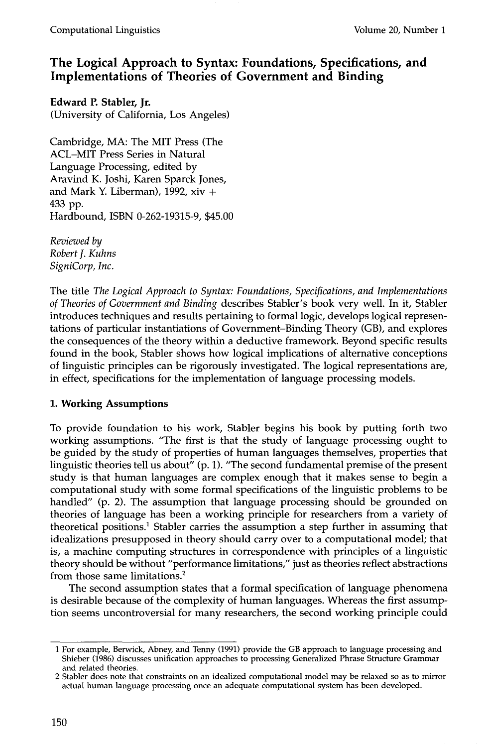# **The Logical Approach to Syntax: Foundations, Specifications, and Implementations of Theories of Government and Binding**

**Edward P. Stabler, Jr.**  (University of California, Los Angeles)

Cambridge, MA: The MIT Press (The ACL-MIT Press Series in Natural Language Processing, edited by Aravind K. Joshi, Karen Sparck Jones, and Mark Y. Liberman), 1992, xiv + 433 pp. Hardbound, ISBN 0-262-19315-9, \$45.00

*Reviewed by Robert J. Kuhns SigniCorp, Inc.* 

The title *The Logical Approach to Syntax: Foundations, Specifications, and Implementations of Theories of Government and Binding* describes Stabler's book very well. In it, Stabler introduces techniques and results pertaining to formal logic, develops logical representations of particular instantiations of Government-Binding Theory (GB), and explores the consequences of the theory within a deductive framework. Beyond specific results found in the book, Stabler shows how logical implications of alternative conceptions of linguistic principles can be rigorously investigated. The logical representations are, in effect, specifications for the implementation of language processing models.

## **1. Working Assumptions**

To provide foundation to his work, Stabler begins his book by putting forth two working assumptions. "The first is that the study of language processing ought to be guided by the study of properties of human languages themselves, properties that linguistic theories tell us about" (p. 1). "The second fundamental premise of the present study is that human languages are complex enough that it makes sense to begin a computational study with some formal specifications of the linguistic problems to be handled" (p. 2). The assumption that language processing should be grounded on theories of language has been a working principle for researchers from a variety of theoretical positions.<sup>1</sup> Stabler carries the assumption a step further in assuming that idealizations presupposed in theory should carry over to a computational model; that is, a machine computing structures in correspondence with principles of a linguistic theory should be without "performance limitations," just as theories reflect abstractions from those same limitations. 2

The second assumption states that a formal specification of language phenomena is desirable because of the complexity of human languages. Whereas the first assumption seems uncontroversial for many researchers, the second working principle could

<sup>1</sup> For example, Berwick, Abney, and Tenny (1991) provide the GB approach to language processing and Shieber (1986) discusses unification approaches to processing Generalized Phrase Structure Grammar and related theories.

<sup>2</sup> Stabler does note that constraints on an idealized computational model may be relaxed so as to mirror actual human language processing once an adequate computational system has been developed.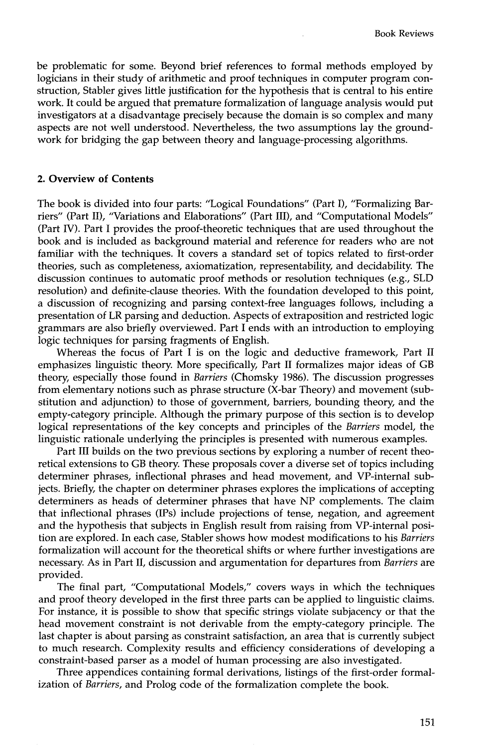be problematic for some. Beyond brief references to formal methods employed by logicians in their study of arithmetic and proof techniques in computer program construction, Stabler gives little justification for the hypothesis that is central to his entire work. It could be argued that premature formalization of language analysis would put investigators at a disadvantage precisely because the domain is so complex and many aspects are not well understood. Nevertheless, the two assumptions lay the groundwork for bridging the gap between theory and language-processing algorithms.

#### **2. Overview of Contents**

The book is divided into four parts: "Logical Foundations" (Part I), "Formalizing Barriers" (Part II), "Variations and Elaborations" (Part III), and "Computational Models" (Part IV). Part I provides the proof-theoretic techniques that are used throughout the book and is included as background material and reference for readers who are not familiar with the techniques. It covers a standard set of topics related to first-order theories, such as completeness, axiomatization, representability, and decidability. The discussion continues to automatic proof methods or resolution techniques (e.g., SLD resolution) and definite-clause theories. With the foundation developed to this point, a discussion of recognizing and parsing context-free languages follows, including a presentation of LR parsing and deduction. Aspects of extraposition and restricted logic grammars are also briefly overviewed. Part I ends with an introduction to employing logic techniques for parsing fragments of English.

Whereas the focus of Part I is on the logic and deductive framework, Part II emphasizes linguistic theory. More specifically, Part II formalizes major ideas of GB theory, especially those found in *Barriers* (Chomsky 1986). The discussion progresses from elementary notions such as phrase structure (X-bar Theory) and movement (substitution and adjunction) to those of government, barriers, bounding theory, and the empty-category principle. Although the primary purpose of this section is to develop logical representations of the key concepts and principles of the *Barriers* model, the linguistic rationale underlying the principles is presented with numerous examples.

Part III builds on the two previous sections by exploring a number of recent theoretical extensions to GB theory. These proposals cover a diverse set of topics including determiner phrases, inflectional phrases and head movement, and VP-internal subjects. Briefly, the chapter on determiner phrases explores the implications of accepting determiners as heads of determiner phrases that have NP complements. The claim that inflectional phrases (IPs) include projections of tense, negation, and agreement and the hypothesis that subjects in English result from raising from VP-internal position are explored. In each case, Stabler shows how modest modifications to his *Barriers*  formalization will account for the theoretical shifts or where further investigations are necessary. As in Part II, discussion and argumentation for departures from *Barriers* are provided.

The final part, "Computational Models," covers ways in which the techniques and proof theory developed in the first three parts can be applied to linguistic claims. For instance, it is possible to show that specific strings violate subjacency or that the head movement constraint is not derivable from the empty-category principle. The last chapter is about parsing as constraint satisfaction, an area that is currently subject to much research. Complexity results and efficiency considerations of developing a constraint-based parser as a model of human processing are also investigated.

Three appendices containing formal derivations, listings of the first-order formalization of *Barriers,* and Prolog code of the formalization complete the book.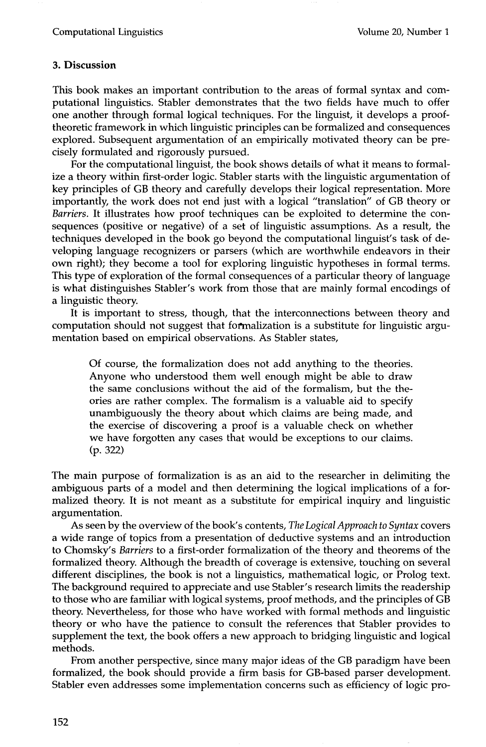### **3. Discussion**

This book makes an important contribution to the areas of formal syntax and computational linguistics. Stabler demonstrates that the two fields have much to offer one another through formal logical techniques. For the linguist, it develops a prooftheoretic framework in which linguistic principles can be formalized and consequences explored. Subsequent argumentation of an empirically motivated theory can be precisely formulated and rigorously pursued.

For the computational linguist, the book shows details of what it means to formalize a theory within first-order logic. Stabler starts with the linguistic argumentation of key principles of GB theory and carefully develops their logical representation. More importantly, the work does not end just with a logical "translation" of GB theory or *Barriers.* It illustrates how proof techniques can be exploited to determine the consequences (positive or negative) of a set of linguistic assumptions. As a result, the techniques developed in the book go beyond the computational linguist's task of developing language recognizers or parsers (which are worthwhile endeavors in their own right); they become a tool for exploring linguistic hypotheses in formal terms. This type of exploration of the formal consequences of a particular theory of language is what distinguishes Stabler's work from those that are mainly formal encodings of a linguistic theory.

It is important to stress, though, that the interconnections between theory and computation should not suggest that foemalization is a substitute for linguistic argumentation based on empirical observations. As Stabler states,

Of course, the formalization does not add anything to the theories. Anyone who understood them well enough might be able to draw the same conclusions without the aid of the formalism, but the theories are rather complex. The formalism is a valuable aid to specify unambiguously the theory about which claims are being made, and the exercise of discovering a proof is a valuable check on whether we have forgotten any cases that would be exceptions to our claims. (p. 322)

The main purpose of formalization is as an aid to the researcher in delimiting the ambiguous parts of a model and then determining the logical implications of a formalized theory. It is not meant as a substitute for empirical inquiry and linguistic argumentation.

As seen by the overview of the book's contents, *The Logical Approach to Syntax* covers a wide range of topics from a presentation of deductive systems and an introduction to Chomsky's *Barriers* to a first-order formalization of the theory and theorems of the formalized theory. Although the breadth of coverage is extensive, touching on several different disciplines, the book is not a linguistics, mathematical logic, or Prolog text. The background required to appreciate and use Stabler's research limits the readership to those who are familiar with logical systems, proof methods, and the principles of GB theory. Nevertheless, for those who have worked with formal methods and linguistic theory or who have the patience to consult the references that Stabler provides to supplement the text, the book offers a new approach to bridging linguistic and logical methods.

From another perspective, since many major ideas of the GB paradigm have been formalized, the book should provide a firm basis for GB-based parser development. Stabler even addresses some implementation concerns such as efficiency of logic pro